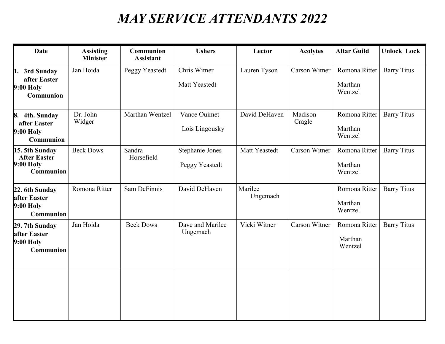## *MAY SERVICE ATTENDANTS 2022*

| <b>Date</b>                                                            | <b>Assisting</b><br><b>Minister</b> | Communion<br><b>Assistant</b> | <b>Ushers</b>                     | Lector              | <b>Acolytes</b>      | <b>Altar Guild</b>                  | <b>Unlock Lock</b> |
|------------------------------------------------------------------------|-------------------------------------|-------------------------------|-----------------------------------|---------------------|----------------------|-------------------------------------|--------------------|
| 1. 3rd Sunday<br>after Easter<br><b>9:00 Holy</b><br>Communion         | Jan Hoida                           | Peggy Yeastedt                | Chris Witner<br>Matt Yeastedt     | Lauren Tyson        | Carson Witner        | Romona Ritter<br>Marthan<br>Wentzel | <b>Barry Titus</b> |
| 8. 4th. Sunday<br>after Easter<br>9:00 Holy<br><b>Communion</b>        | Dr. John<br>Widger                  | Marthan Wentzel               | Vance Ouimet<br>Lois Lingousky    | David DeHaven       | Madison<br>Cragle    | Romona Ritter<br>Marthan<br>Wentzel | <b>Barry Titus</b> |
| 15. 5th Sunday<br><b>After Easter</b><br><b>9:00 Holy</b><br>Communion | <b>Beck Dows</b>                    | Sandra<br>Horsefield          | Stephanie Jones<br>Peggy Yeastedt | Matt Yeastedt       | <b>Carson Witner</b> | Romona Ritter<br>Marthan<br>Wentzel | <b>Barry Titus</b> |
| 22. 6th Sunday<br>after Easter<br><b>9:00 Holy</b><br>Communion        | Romona Ritter                       | Sam DeFinnis                  | David DeHaven                     | Marilee<br>Ungemach |                      | Romona Ritter<br>Marthan<br>Wentzel | <b>Barry Titus</b> |
| 29. 7th Sunday<br>after Easter<br>9:00 Holy<br>Communion               | Jan Hoida                           | <b>Beck Dows</b>              | Dave and Marilee<br>Ungemach      | Vicki Witner        | Carson Witner        | Romona Ritter<br>Marthan<br>Wentzel | <b>Barry Titus</b> |
|                                                                        |                                     |                               |                                   |                     |                      |                                     |                    |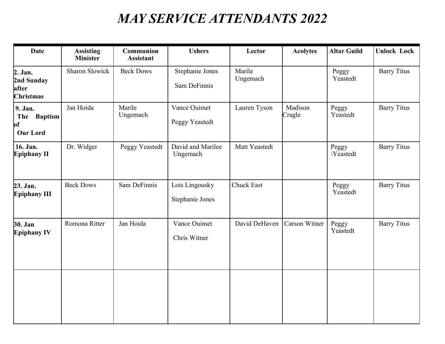## *MAY SERVICE ATTENDANTS 2022*

| <b>Date</b>                                                | <b>Assisting</b><br><b>Minister</b> | Communion<br><b>Assistant</b> | <b>Ushers</b>                     | Lector             | <b>Acolytes</b>   | <b>Altar Guild</b> | <b>Unlock Lock</b> |
|------------------------------------------------------------|-------------------------------------|-------------------------------|-----------------------------------|--------------------|-------------------|--------------------|--------------------|
| 2. Jan.<br>2nd Sunday<br>after<br><b>Christmas</b>         | Sharon Slowick                      | <b>Beck Dows</b>              | Stephanie Jones<br>Sam DeFinnis   | Marile<br>Ungemach |                   | Peggy<br>Yeastedt  | <b>Barry Titus</b> |
| 9. Jan.<br>The Baptism<br><sub>of</sub><br><b>Our Lord</b> | Jan Hoida                           | Marile<br>Ungemach            | Vance Ouimet<br>Peggy Yeastedt    | Lauren Tyson       | Madison<br>Cragle | Peggy<br>Yeastedt  | <b>Barry Titus</b> |
| 16. Jan.<br><b>Epiphany II</b>                             | Dr. Widger                          | Peggy Yeastedt                | David and Marilee<br>Ungemach     | Matt Yeastedt      |                   | Peggy<br>Yeastedt  | <b>Barry Titus</b> |
| 23. Jan.<br><b>Epiphany III</b>                            | <b>Beck Dows</b>                    | Sam DeFinnis                  | Lois Lingousky<br>Stephanie Jones | <b>Chuck East</b>  |                   | Peggy<br>Yeastedt  | <b>Barry Titus</b> |
| 30. Jan<br><b>Epiphany IV</b>                              | Romona Ritter                       | Jan Hoida                     | Vance Ouimet<br>Chris Witner      | David DeHaven      | Carson Witner     | Peggy<br>Yeastedt  | <b>Barry Titus</b> |
|                                                            |                                     |                               |                                   |                    |                   |                    |                    |